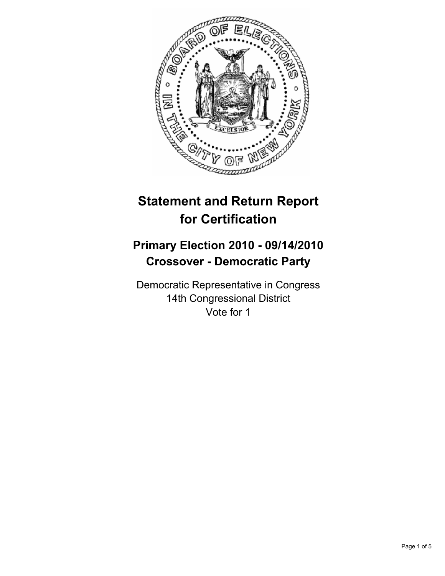

# **Statement and Return Report for Certification**

## **Primary Election 2010 - 09/14/2010 Crossover - Democratic Party**

Democratic Representative in Congress 14th Congressional District Vote for 1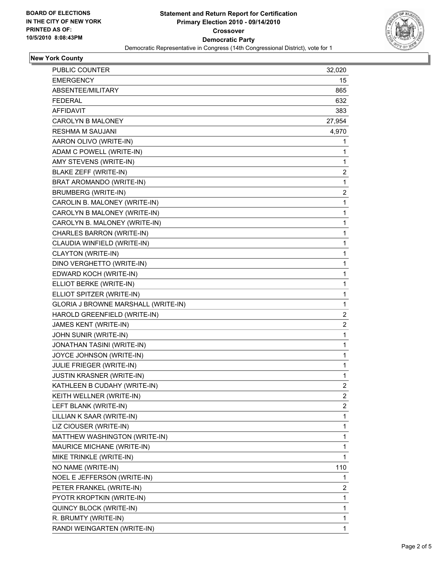

## **New York County**

| PUBLIC COUNTER                      | 32,020                  |
|-------------------------------------|-------------------------|
| <b>EMERGENCY</b>                    | 15                      |
| ABSENTEE/MILITARY                   | 865                     |
| FEDERAL                             | 632                     |
| <b>AFFIDAVIT</b>                    | 383                     |
| CAROLYN B MALONEY                   | 27,954                  |
| RESHMA M SAUJANI                    | 4,970                   |
| AARON OLIVO (WRITE-IN)              | 1                       |
| ADAM C POWELL (WRITE-IN)            | 1                       |
| AMY STEVENS (WRITE-IN)              | 1                       |
| BLAKE ZEFF (WRITE-IN)               | 2                       |
| BRAT AROMANDO (WRITE-IN)            | 1                       |
| <b>BRUMBERG (WRITE-IN)</b>          | 2                       |
| CAROLIN B. MALONEY (WRITE-IN)       | 1                       |
| CAROLYN B MALONEY (WRITE-IN)        | 1                       |
| CAROLYN B. MALONEY (WRITE-IN)       | 1                       |
| CHARLES BARRON (WRITE-IN)           | 1                       |
| CLAUDIA WINFIELD (WRITE-IN)         | 1                       |
| CLAYTON (WRITE-IN)                  | 1                       |
| DINO VERGHETTO (WRITE-IN)           | 1                       |
| EDWARD KOCH (WRITE-IN)              | 1                       |
| ELLIOT BERKE (WRITE-IN)             | 1                       |
| ELLIOT SPITZER (WRITE-IN)           | 1                       |
| GLORIA J BROWNE MARSHALL (WRITE-IN) | 1                       |
| HAROLD GREENFIELD (WRITE-IN)        | 2                       |
| JAMES KENT (WRITE-IN)               | $\overline{\mathbf{c}}$ |
| JOHN SUNIR (WRITE-IN)               | 1                       |
| JONATHAN TASINI (WRITE-IN)          | 1                       |
| JOYCE JOHNSON (WRITE-IN)            | 1                       |
| JULIE FRIEGER (WRITE-IN)            | 1                       |
| <b>JUSTIN KRASNER (WRITE-IN)</b>    | 1                       |
| KATHLEEN B CUDAHY (WRITE-IN)        | 2                       |
| KEITH WELLNER (WRITE-IN)            | $\overline{a}$          |
| LEFT BLANK (WRITE-IN)               | 2                       |
| LILLIAN K SAAR (WRITE-IN)           | 1                       |
| LIZ CIOUSER (WRITE-IN)              | 1                       |
| MATTHEW WASHINGTON (WRITE-IN)       | 1                       |
| MAURICE MICHANE (WRITE-IN)          | 1                       |
| MIKE TRINKLE (WRITE-IN)             | 1                       |
| NO NAME (WRITE-IN)                  | 110                     |
| NOEL E JEFFERSON (WRITE-IN)         | 1                       |
| PETER FRANKEL (WRITE-IN)            | 2                       |
| PYOTR KROPTKIN (WRITE-IN)           | 1                       |
| QUINCY BLOCK (WRITE-IN)             | 1                       |
| R. BRUMTY (WRITE-IN)                | 1                       |
| RANDI WEINGARTEN (WRITE-IN)         | 1                       |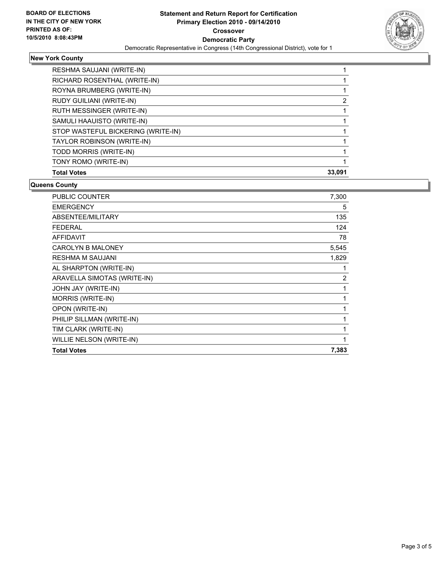

## **New York County**

| RESHMA SAUJANI (WRITE-IN)          |        |
|------------------------------------|--------|
| RICHARD ROSENTHAL (WRITE-IN)       |        |
| ROYNA BRUMBERG (WRITE-IN)          |        |
| RUDY GUILIANI (WRITE-IN)           | 2      |
| RUTH MESSINGER (WRITE-IN)          |        |
| SAMULI HAAUISTO (WRITE-IN)         |        |
| STOP WASTEFUL BICKERING (WRITE-IN) |        |
| TAYLOR ROBINSON (WRITE-IN)         |        |
| TODD MORRIS (WRITE-IN)             |        |
| TONY ROMO (WRITE-IN)               |        |
| <b>Total Votes</b>                 | 33.091 |

### **Queens County**

| <b>PUBLIC COUNTER</b>       | 7,300 |
|-----------------------------|-------|
| <b>EMERGENCY</b>            | 5     |
| ABSENTEE/MILITARY           | 135   |
| <b>FEDERAL</b>              | 124   |
| <b>AFFIDAVIT</b>            | 78    |
| <b>CAROLYN B MALONEY</b>    | 5,545 |
| <b>RESHMA M SAUJANI</b>     | 1,829 |
| AL SHARPTON (WRITE-IN)      | 1     |
| ARAVELLA SIMOTAS (WRITE-IN) | 2     |
| JOHN JAY (WRITE-IN)         | 1     |
| MORRIS (WRITE-IN)           | 1     |
| OPON (WRITE-IN)             | 1     |
| PHILIP SILLMAN (WRITE-IN)   | 1     |
| TIM CLARK (WRITE-IN)        | 1     |
| WILLIE NELSON (WRITE-IN)    | 1     |
| <b>Total Votes</b>          | 7,383 |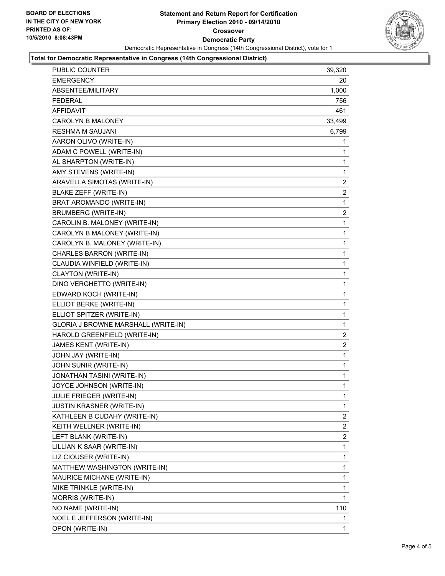

### **Total for Democratic Representative in Congress (14th Congressional District)**

| PUBLIC COUNTER                      | 39,320         |
|-------------------------------------|----------------|
| <b>EMERGENCY</b>                    | 20             |
| ABSENTEE/MILITARY                   | 1,000          |
| <b>FEDERAL</b>                      | 756            |
| <b>AFFIDAVIT</b>                    | 461            |
| <b>CAROLYN B MALONEY</b>            | 33,499         |
| RESHMA M SAUJANI                    | 6,799          |
| AARON OLIVO (WRITE-IN)              | 1              |
| ADAM C POWELL (WRITE-IN)            | 1              |
| AL SHARPTON (WRITE-IN)              | 1              |
| AMY STEVENS (WRITE-IN)              | 1              |
| ARAVELLA SIMOTAS (WRITE-IN)         | 2              |
| <b>BLAKE ZEFF (WRITE-IN)</b>        | $\overline{2}$ |
| BRAT AROMANDO (WRITE-IN)            | 1              |
| <b>BRUMBERG (WRITE-IN)</b>          | 2              |
| CAROLIN B. MALONEY (WRITE-IN)       | 1              |
| CAROLYN B MALONEY (WRITE-IN)        | 1              |
| CAROLYN B. MALONEY (WRITE-IN)       | 1              |
| CHARLES BARRON (WRITE-IN)           | 1              |
| CLAUDIA WINFIELD (WRITE-IN)         | 1              |
| CLAYTON (WRITE-IN)                  | 1              |
| DINO VERGHETTO (WRITE-IN)           | 1              |
| EDWARD KOCH (WRITE-IN)              | 1              |
| ELLIOT BERKE (WRITE-IN)             | 1              |
| ELLIOT SPITZER (WRITE-IN)           | 1              |
| GLORIA J BROWNE MARSHALL (WRITE-IN) | 1              |
| HAROLD GREENFIELD (WRITE-IN)        | 2              |
| JAMES KENT (WRITE-IN)               | $\overline{2}$ |
| JOHN JAY (WRITE-IN)                 | 1              |
| JOHN SUNIR (WRITE-IN)               | 1              |
| JONATHAN TASINI (WRITE-IN)          | 1              |
| JOYCE JOHNSON (WRITE-IN)            | 1              |
| <b>JULIE FRIEGER (WRITE-IN)</b>     | 1              |
| <b>JUSTIN KRASNER (WRITE-IN)</b>    | 1              |
| KATHLEEN B CUDAHY (WRITE-IN)        | 2              |
| KEITH WELLNER (WRITE-IN)            | 2              |
| LEFT BLANK (WRITE-IN)               | 2              |
| LILLIAN K SAAR (WRITE-IN)           | 1              |
| LIZ CIOUSER (WRITE-IN)              | 1              |
| MATTHEW WASHINGTON (WRITE-IN)       | 1              |
| MAURICE MICHANE (WRITE-IN)          | 1              |
| MIKE TRINKLE (WRITE-IN)             | 1              |
| MORRIS (WRITE-IN)                   | 1              |
| NO NAME (WRITE-IN)                  | 110            |
| NOEL E JEFFERSON (WRITE-IN)         | 1              |
| OPON (WRITE-IN)                     | 1              |
|                                     |                |